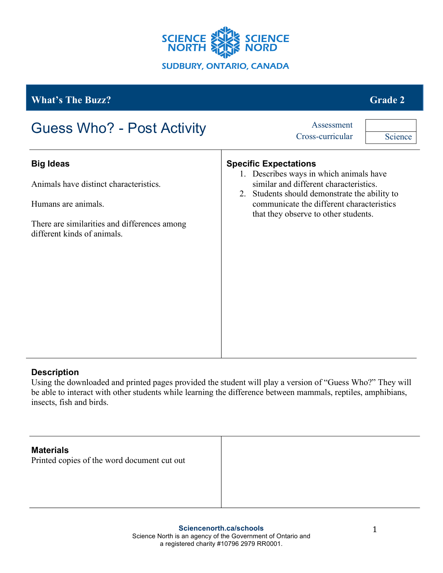

| <b>What's The Buzz?</b>                                                           | <b>Grade 2</b>                                                                                                                                                                                                  |
|-----------------------------------------------------------------------------------|-----------------------------------------------------------------------------------------------------------------------------------------------------------------------------------------------------------------|
| <b>Guess Who? - Post Activity</b>                                                 | Assessment<br>Cross-curricular<br>Science                                                                                                                                                                       |
| <b>Big Ideas</b><br>Animals have distinct characteristics.<br>Humans are animals. | <b>Specific Expectations</b><br>1. Describes ways in which animals have<br>similar and different characteristics.<br>2. Students should demonstrate the ability to<br>communicate the different characteristics |
| There are similarities and differences among<br>different kinds of animals.       | that they observe to other students.                                                                                                                                                                            |
|                                                                                   |                                                                                                                                                                                                                 |
|                                                                                   |                                                                                                                                                                                                                 |

## **Description**

Using the downloaded and printed pages provided the student will play a version of "Guess Who?" They will be able to interact with other students while learning the difference between mammals, reptiles, amphibians, insects, fish and birds.

# **Materials**

Printed copies of the word document cut out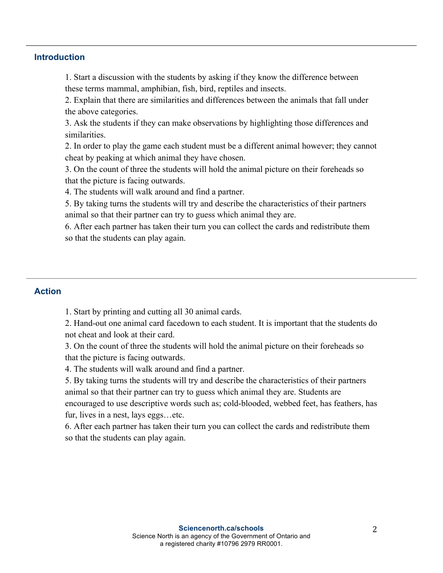#### **Introduction**

1. Start a discussion with the students by asking if they know the difference between these terms mammal, amphibian, fish, bird, reptiles and insects.

2. Explain that there are similarities and differences between the animals that fall under the above categories.

3. Ask the students if they can make observations by highlighting those differences and similarities.

2. In order to play the game each student must be a different animal however; they cannot cheat by peaking at which animal they have chosen.

3. On the count of three the students will hold the animal picture on their foreheads so that the picture is facing outwards.

4. The students will walk around and find a partner.

5. By taking turns the students will try and describe the characteristics of their partners animal so that their partner can try to guess which animal they are.

6. After each partner has taken their turn you can collect the cards and redistribute them so that the students can play again.

### **Action**

1. Start by printing and cutting all 30 animal cards.

2. Hand-out one animal card facedown to each student. It is important that the students do not cheat and look at their card.

3. On the count of three the students will hold the animal picture on their foreheads so that the picture is facing outwards.

4. The students will walk around and find a partner.

5. By taking turns the students will try and describe the characteristics of their partners animal so that their partner can try to guess which animal they are. Students are encouraged to use descriptive words such as; cold-blooded, webbed feet, has feathers, has fur, lives in a nest, lays eggs…etc.

6. After each partner has taken their turn you can collect the cards and redistribute them so that the students can play again.